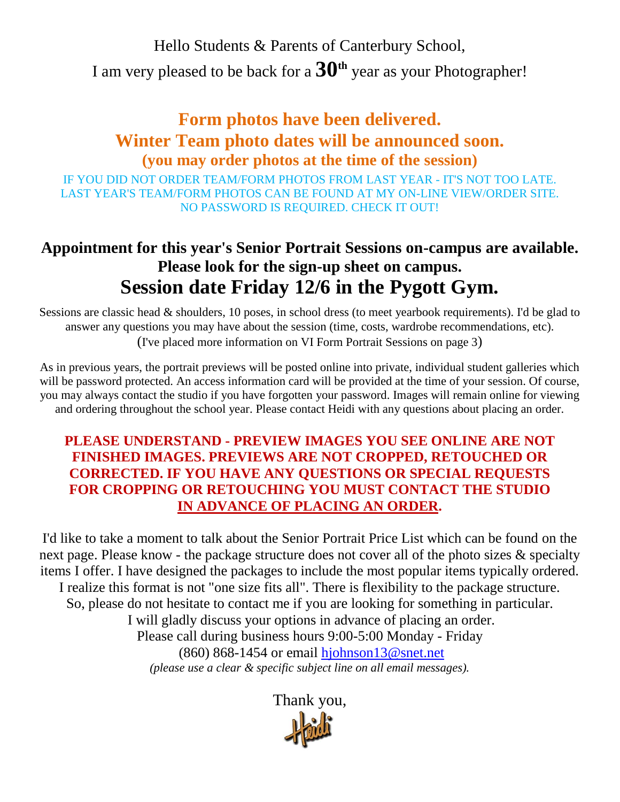Hello Students & Parents of Canterbury School,

I am very pleased to be back for a **30th** year as your Photographer!

## **Form photos have been delivered. Winter Team photo dates will be announced soon. (you may order photos at the time of the session)**

IF YOU DID NOT ORDER TEAM/FORM PHOTOS FROM LAST YEAR - IT'S NOT TOO LATE. LAST YEAR'S TEAM/FORM PHOTOS CAN BE FOUND AT MY ON-LINE VIEW/ORDER SITE. NO PASSWORD IS REQUIRED. CHECK IT OUT!

# **Appointment for this year's Senior Portrait Sessions on-campus are available. Please look for the sign-up sheet on campus. Session date Friday 12/6 in the Pygott Gym.**

Sessions are classic head & shoulders, 10 poses, in school dress (to meet yearbook requirements). I'd be glad to answer any questions you may have about the session (time, costs, wardrobe recommendations, etc). (I've placed more information on VI Form Portrait Sessions on page 3)

As in previous years, the portrait previews will be posted online into private, individual student galleries which will be password protected. An access information card will be provided at the time of your session. Of course, you may always contact the studio if you have forgotten your password. Images will remain online for viewing and ordering throughout the school year. Please contact Heidi with any questions about placing an order.

## **PLEASE UNDERSTAND - PREVIEW IMAGES YOU SEE ONLINE ARE NOT FINISHED IMAGES. PREVIEWS ARE NOT CROPPED, RETOUCHED OR CORRECTED. IF YOU HAVE ANY QUESTIONS OR SPECIAL REQUESTS FOR CROPPING OR RETOUCHING YOU MUST CONTACT THE STUDIO IN ADVANCE OF PLACING AN ORDER.**

I'd like to take a moment to talk about the Senior Portrait Price List which can be found on the next page. Please know - the package structure does not cover all of the photo sizes  $\&$  specialty items I offer. I have designed the packages to include the most popular items typically ordered. I realize this format is not "one size fits all". There is flexibility to the package structure. So, please do not hesitate to contact me if you are looking for something in particular. I will gladly discuss your options in advance of placing an order. Please call during business hours 9:00-5:00 Monday - Friday (860) 868-1454 or email [hjohnson13@snet.net](mailto:hjohnson13@snet.net) *(please use a clear & specific subject line on all email messages).*

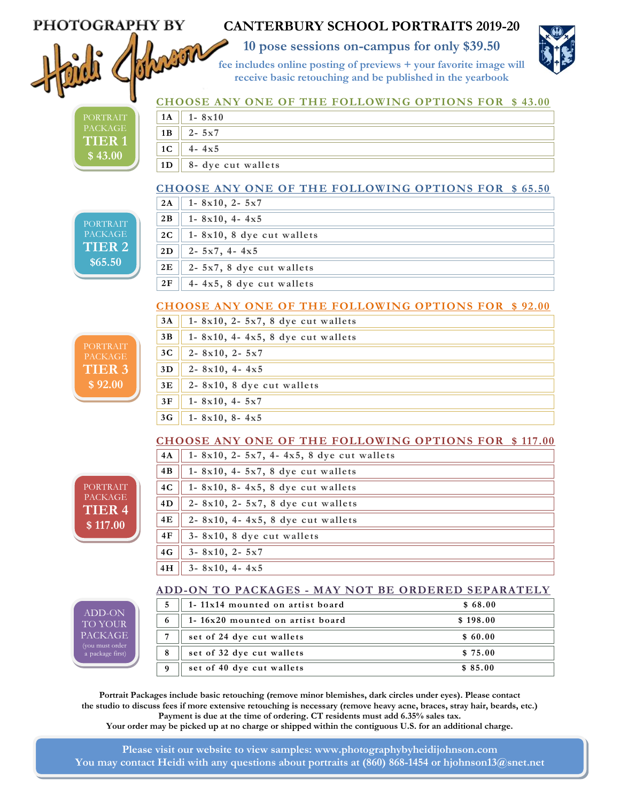## PHOTOGRAPHY BY



**ACKAG TIER 1 \$ 43.00**

## **CANTERBURY SCHOOL PORTRAITS 2019-20**

**10 pose sessions on-campus for only \$39.50**



 **fee includes online posting of previews + your favorite image will receive basic retouching and be published in the yearbook**

#### **CHOOSE ANY ONE OF THE FOLLOWING OPTIONS FOR \$ 43.00**

|  | 1 A            | $1 - 8x10$          |
|--|----------------|---------------------|
|  | 1B             | $2 - 5x7$           |
|  | 1 <sub>C</sub> | 4x5<br>$\mathbf{I}$ |
|  | 1 <sub>D</sub> | 8- dye cut wallets  |

#### **CHOOSE ANY ONE OF THE FOLLOWING OPTIONS FOR \$ 65.50**  $\frac{1}{2}$

| <b>PORTRAIT</b>   |  |
|-------------------|--|
| <b>PACKAGE</b>    |  |
| TIER <sub>2</sub> |  |
|                   |  |
| \$65.50           |  |
|                   |  |

**TIER 3 \$ 92.00**

PORTRAIT PACKAGE **TIER 4 \$ 117.00**

ADD-ON TO YOUR PACKAGE a package first)

### **CHOOSE ANY ONE OF THE FOLLOWING OPTIONS FOR \$ 92.00**

| 3A             | 1-8 $x10$ , 2-5 $x7$ , 8 dye cut wallets |
|----------------|------------------------------------------|
| 3B             | 1-8 $x10$ , 4-4 $x5$ , 8 dye cut wallets |
| 3 <sub>C</sub> | $2 - 8x10$ , $2 - 5x7$                   |
| 3D             | $2 - 8x10$ , 4 - 4x5                     |
| 3E             | 2-8x10, 8 dye cut wallets                |
| 3F             | $1 - 8x10, 4 - 5x7$                      |
| 3G             | $1 - 8x10$ , $8 - 4x5$                   |

#### **CHOOSE ANY ONE OF THE FOLLOWING OPTIONS FOR \$ 117.00**

| 4A | 1-8x10, 2-5x7, 4-4x5, 8 dye cut wallets    |  |
|----|--------------------------------------------|--|
| 4B | 1-8x10, 4-5x7, 8 dye cut wallets           |  |
| 4C | 1-8x10, 8-4x5, 8 dye cut wallets           |  |
| 4D | 2-8x10, 2-5x7, 8 dye cut wallets           |  |
| 4E | $2 - 8x10$ , 4 - $4x5$ , 8 dye cut wallets |  |
| 4F | 3-8x10, 8 dye cut wallets                  |  |
| 4G | $3 - 8x10$ , $2 - 5x7$                     |  |
| 4H | $3 - 8x10$ , $4 - 4x5$                     |  |

#### **ADD-ON TO PACKAGES - MAY NOT BE ORDERED SEPARATELY**

|          | 1-11x14 mounted on artist board | \$68.00  |
|----------|---------------------------------|----------|
|          | 1-16x20 mounted on artist board | \$198.00 |
|          | set of 24 dye cut wallets       | \$60.00  |
| 8        | set of 32 dye cut wallets       | \$75.00  |
| $\Omega$ | set of 40 dye cut wallets       | \$85.00  |

**Portrait Packages include basic retouching (remove minor blemishes, dark circles under eyes). Please contact the studio to discuss fees if more extensive retouching is necessary (remove heavy acne, braces, stray hair, beards, etc.) Payment is due at the time of ordering. CT residents must add 6.35% sales tax. Your order may be picked up at no charge or shipped within the contiguous U.S. for an additional charge.**

**Please visit our website to view samples: [www.photographybyheidijohnson.com](http://www.photographybyheidijohnson.com/) You may contact Heidi with any questions about portraits at (860) 868-1454 or hjohnson13@snet.net**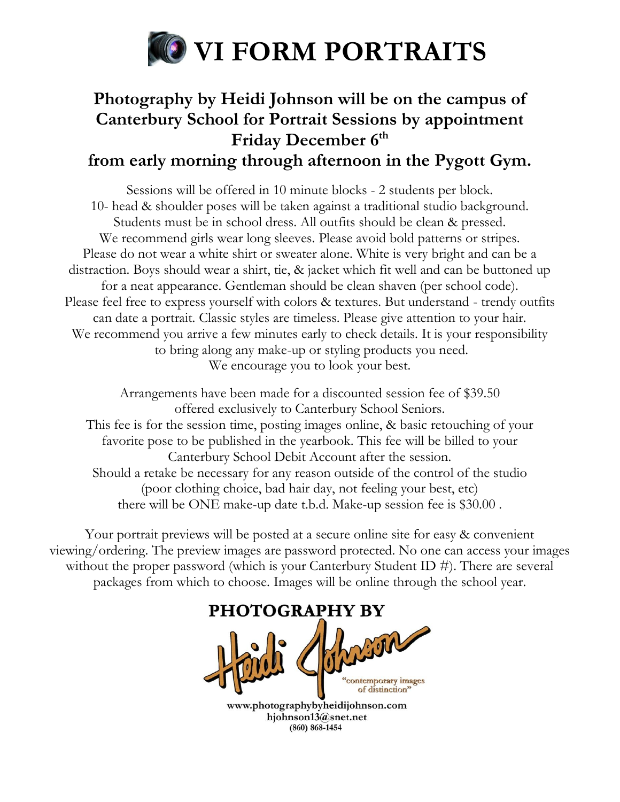

# **Photography by Heidi Johnson will be on the campus of Canterbury School for Portrait Sessions by appointment Friday December 6th from early morning through afternoon in the Pygott Gym.**

Sessions will be offered in 10 minute blocks - 2 students per block. 10- head & shoulder poses will be taken against a traditional studio background. Students must be in school dress. All outfits should be clean & pressed. We recommend girls wear long sleeves. Please avoid bold patterns or stripes. Please do not wear a white shirt or sweater alone. White is very bright and can be a distraction. Boys should wear a shirt, tie, & jacket which fit well and can be buttoned up for a neat appearance. Gentleman should be clean shaven (per school code). Please feel free to express yourself with colors & textures. But understand - trendy outfits can date a portrait. Classic styles are timeless. Please give attention to your hair. We recommend you arrive a few minutes early to check details. It is your responsibility to bring along any make-up or styling products you need. We encourage you to look your best.

Arrangements have been made for a discounted session fee of \$39.50 offered exclusively to Canterbury School Seniors. This fee is for the session time, posting images online, & basic retouching of your favorite pose to be published in the yearbook. This fee will be billed to your Canterbury School Debit Account after the session. Should a retake be necessary for any reason outside of the control of the studio (poor clothing choice, bad hair day, not feeling your best, etc) there will be ONE make-up date t.b.d. Make-up session fee is \$30.00 .

Your portrait previews will be posted at a secure online site for easy & convenient viewing/ordering. The preview images are password protected. No one can access your images without the proper password (which is your Canterbury Student ID #). There are several packages from which to choose. Images will be online through the school year.



www.photographybyheidijohnson.com hjohnson13@snet.net  $(860) 868 - 1454$